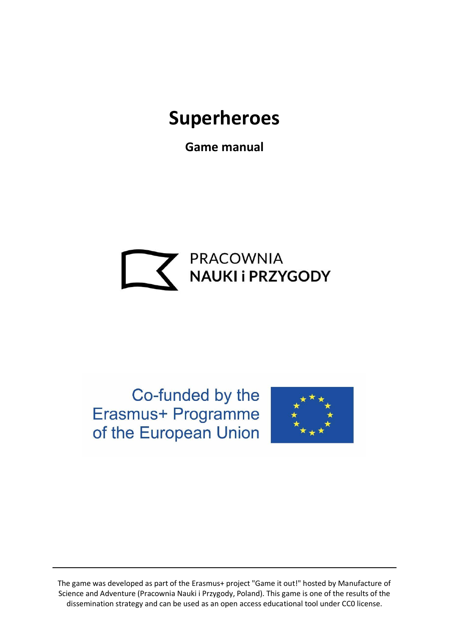# **Superheroes**

**Game manual**



Co-funded by the Erasmus+ Programme of the European Union



The game was developed as part of the Erasmus+ project "Game it out!" hosted by Manufacture of Science and Adventure (Pracownia Nauki i Przygody, Poland). This game is one of the results of the dissemination strategy and can be used as an open access educational tool under CC0 license.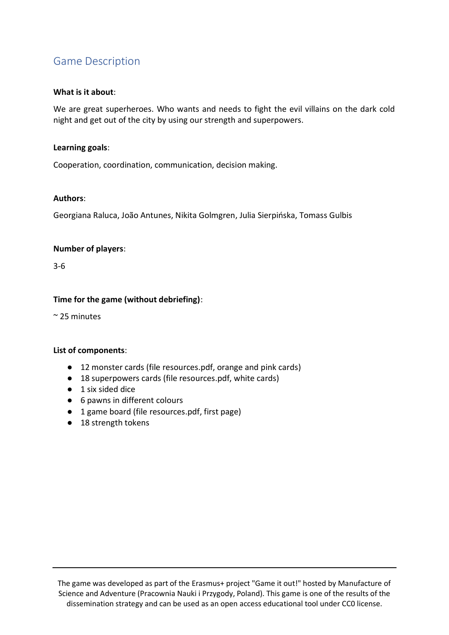## Game Description

#### **What is it about**:

We are great superheroes. Who wants and needs to fight the evil villains on the dark cold night and get out of the city by using our strength and superpowers.

#### **Learning goals**:

Cooperation, coordination, communication, decision making.

#### **Authors**:

Georgiana Raluca, João Antunes, Nikita Golmgren, Julia Sierpińska, Tomass Gulbis

#### **Number of players**:

3-6

## **Time for the game (without debriefing)**:

~ 25 minutes

#### **List of components**:

- 12 monster cards (file resources.pdf, orange and pink cards)
- 18 superpowers cards (file resources.pdf, white cards)
- 1 six sided dice
- 6 pawns in different colours
- 1 game board (file resources.pdf, first page)
- 18 strength tokens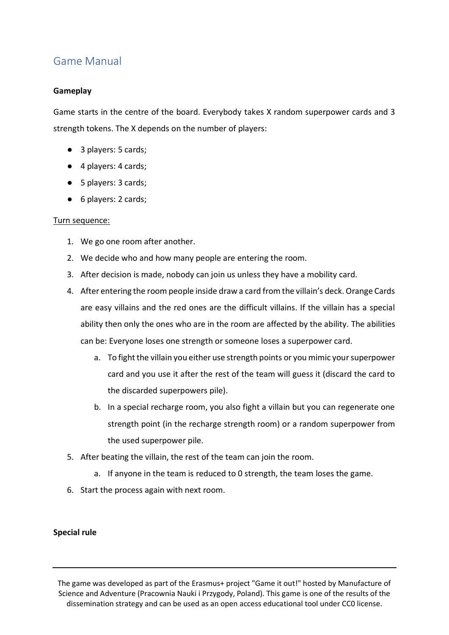# Game Manual

## **Gameplay**

Game starts in the centre of the board. Everybody takes X random superpower cards and 3 strength tokens. The X depends on the number of players:

- 3 players: 5 cards;
- 4 players: 4 cards;
- 5 players: 3 cards;
- 6 players: 2 cards;

#### Turn sequence:

- 1. We go one room after another.
- 2. We decide who and how many people are entering the room.
- 3. After decision is made, nobody can join us unless they have a mobility card.
- 4. After entering the room people inside draw a card from the villain's deck. Orange Cards are easy villains and the red ones are the difficult villains. If the villain has a special ability then only the ones who are in the room are affected by the ability. The abilities can be: Everyone loses one strength or someone loses a superpower card.
	- a. To fight the villain you either use strength points or you mimic your superpower card and you use it after the rest of the team will guess it (discard the card to the discarded superpowers pile).
	- b. In a special recharge room, you also fight a villain but you can regenerate one strength point (in the recharge strength room) or a random superpower from the used superpower pile.
- 5. After beating the villain, the rest of the team can join the room.
	- a. If anyone in the team is reduced to 0 strength, the team loses the game.
- 6. Start the process again with next room.

#### **Special rule**

The game was developed as part of the Erasmus+ project "Game it out!" hosted by Manufacture of Science and Adventure (Pracownia Nauki i Przygody, Poland). This game is one of the results of the dissemination strategy and can be used as an open access educational tool under CC0 license.